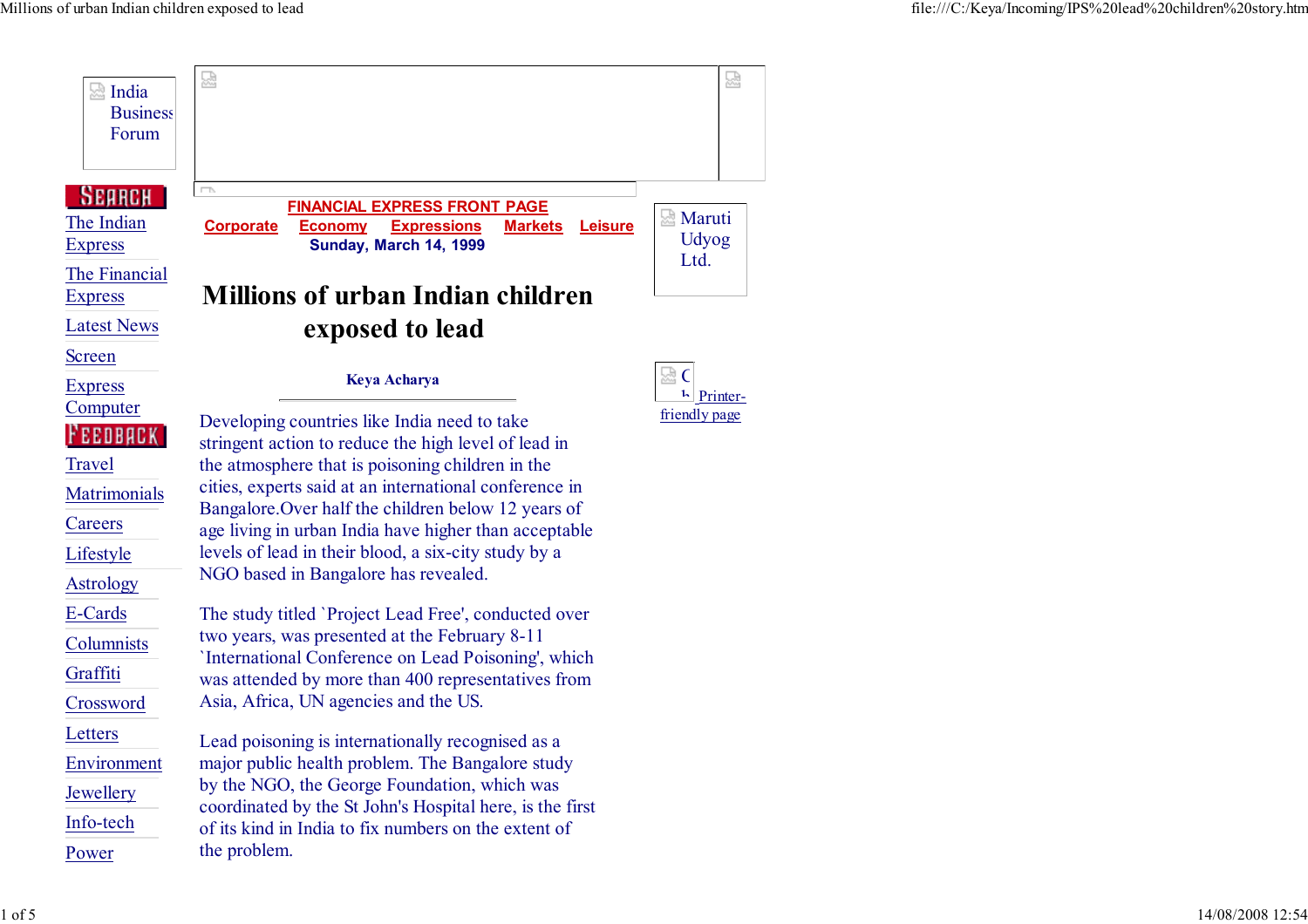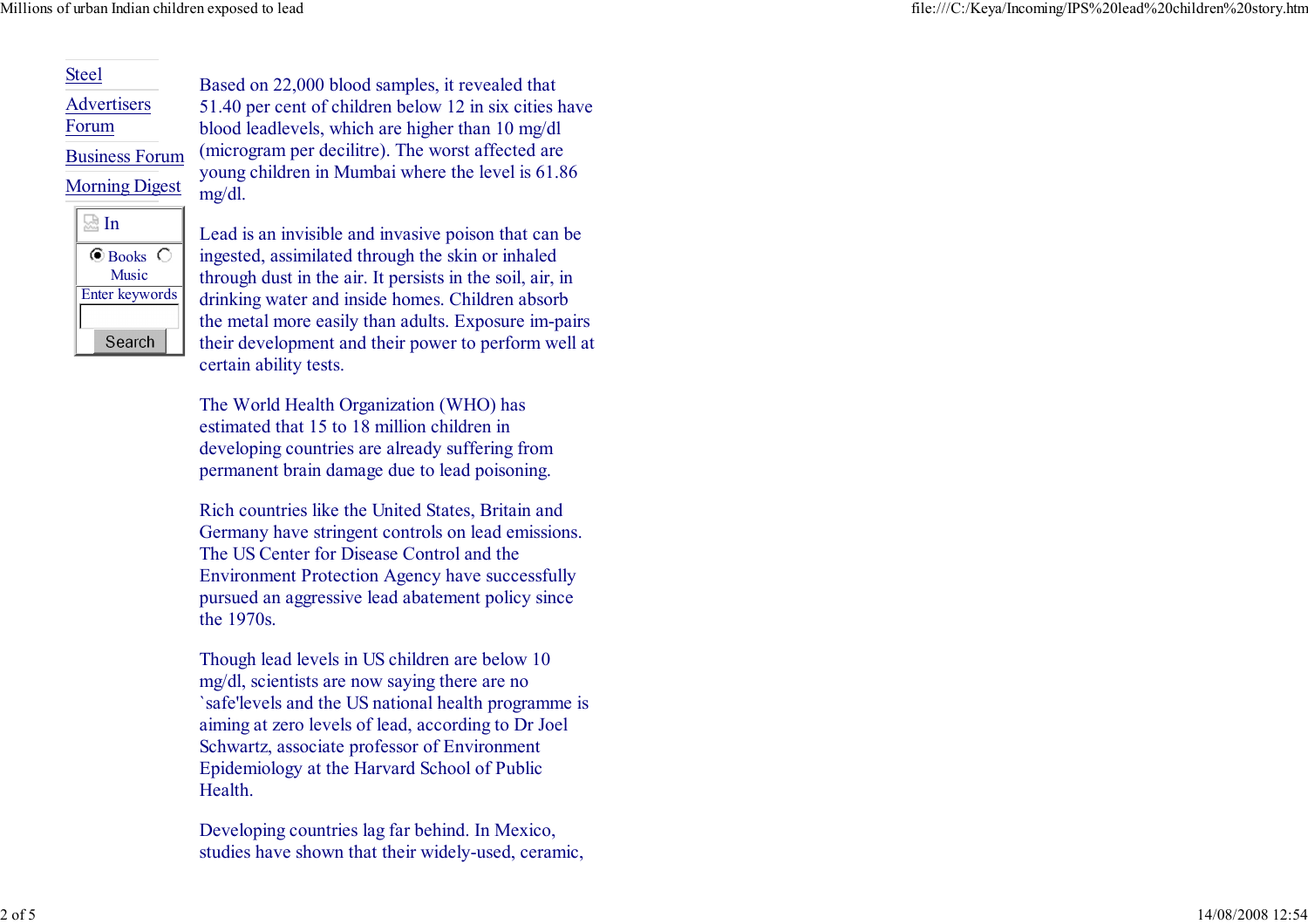## Steel

**Advertisers** 

Forum

Business Forum

**Morning Digest** 

mg/dl.



Lead is an invisible and invasive poison that can beingested, assimilated through the skin or inhaled through dust in the air. It persists in the soil, air, in drinking water and inside homes. Children absorb the metal more easily than adults. Exposure im-pairs their development and their power to perform well atcertain ability tests.

Based on 22,000 blood samples, it revealed that 51.40 per cent of children below 12 in six cities haveblood leadlevels, which are higher than 10 mg/dl (microgram per decilitre). The worst affected areyoung children in Mumbai where the level is 61.86

The World Health Organization (WHO) hasestimated that 15 to 18 million children in developing countries are already suffering frompermanent brain damage due to lead poisoning.

Rich countries like the United States, Britain and Germany have stringent controls on lead emissions.The US Center for Disease Control and the Environment Protection Agency have successfully pursued an aggressive lead abatement policy sincethe 1970s.

Though lead levels in US children are below 10mg/dl, scientists are now saying there are no `safe'levels and the US national health programme isaiming at zero levels of lead, according to Dr JoelSchwartz, associate professor of Environment Epidemiology at the Harvard School of PublicHealth.

Developing countries lag far behind. In Mexico,studies have shown that their widely-used, ceramic,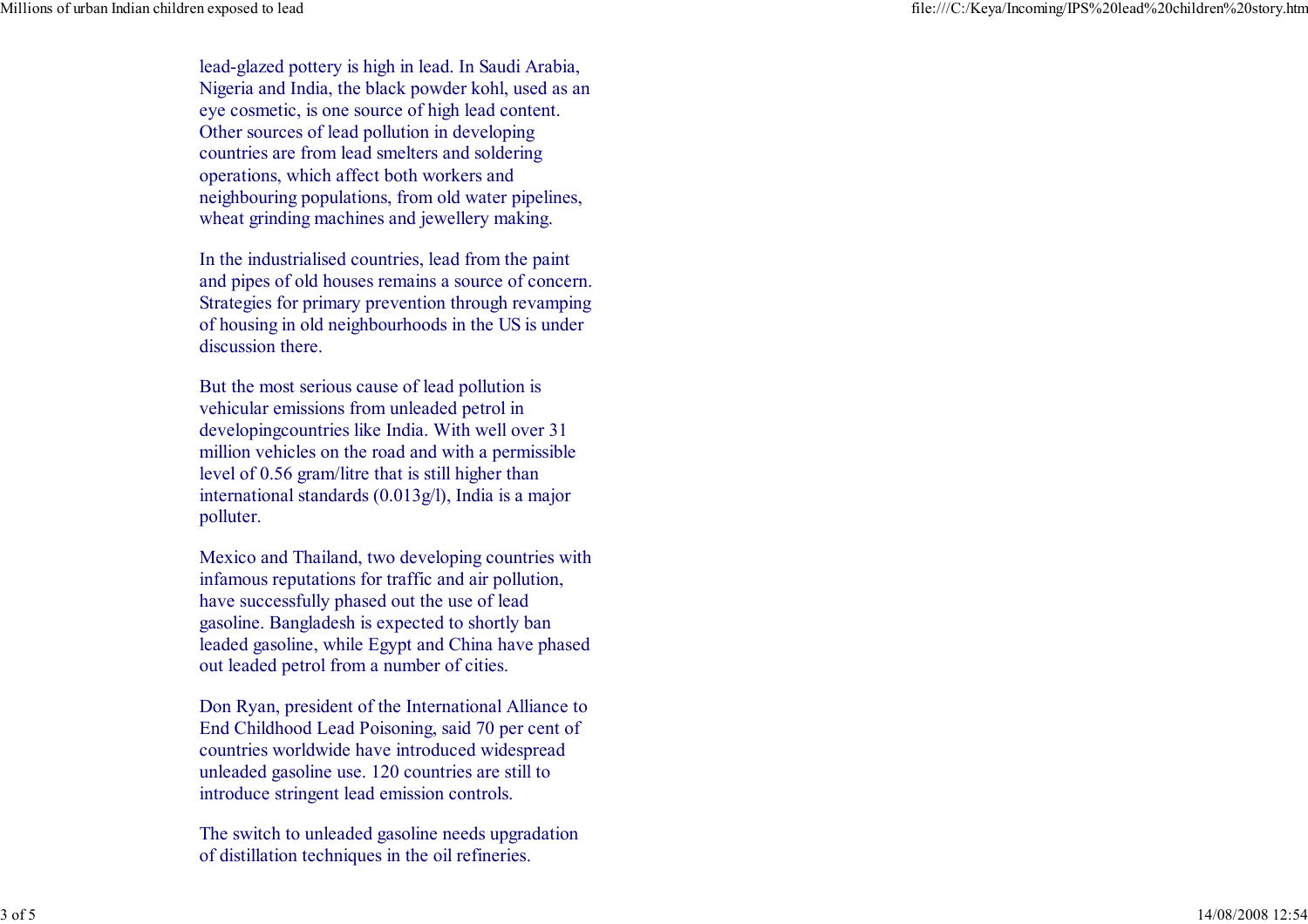lead-glazed pottery is high in lead. In Saudi Arabia, Nigeria and India, the black powder kohl, used as aneye cosmetic, is one source of high lead content.Other sources of lead pollution in developing countries are from lead smelters and solderingoperations, which affect both workers and neighbouring populations, from old water pipelines,wheat grinding machines and jewellery making.

In the industrialised countries, lead from the paint and pipes of old houses remains a source of concern. Strategies for primary prevention through revamping of housing in old neighbourhoods in the US is underdiscussion there.

But the most serious cause of lead pollution isvehicular emissions from unleaded petrol in developingcountries like India. With well over 31 million vehicles on the road and with a permissiblelevel of 0.56 gram/litre that is still higher than international standards (0.013g/l), India is a majorpolluter.

Mexico and Thailand, two developing countries withinfamous reputations for traffic and air pollution,have successfully phased out the use of lead gasoline. Bangladesh is expected to shortly ban leaded gasoline, while Egypt and China have phasedout leaded petrol from a number of cities.

Don Ryan, president of the International Alliance to End Childhood Lead Poisoning, said 70 per cent ofcountries worldwide have introduced widespreadunleaded gasoline use. 120 countries are still tointroduce stringent lead emission controls.

The switch to unleaded gasoline needs upgradationof distillation techniques in the oil refineries.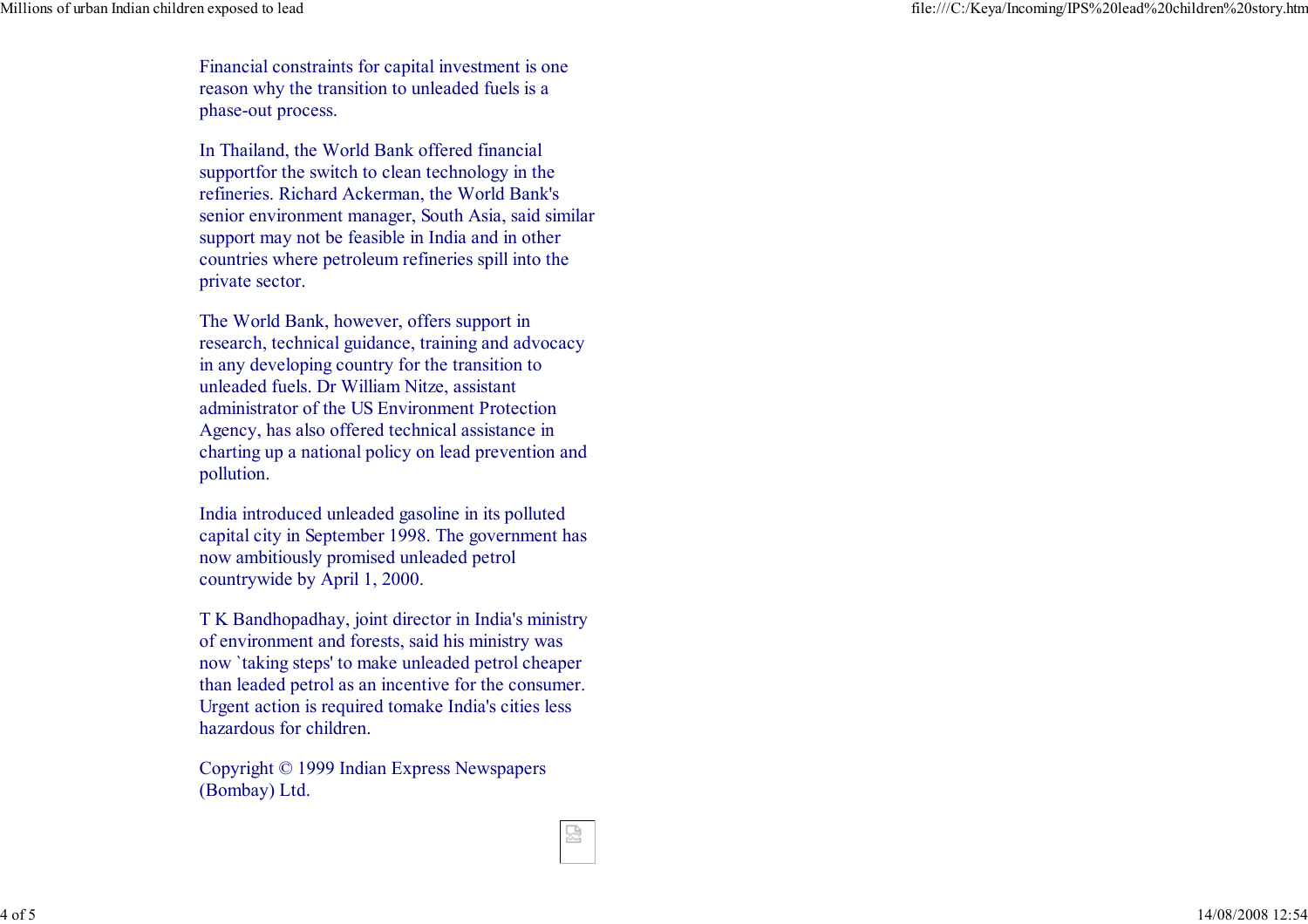Financial constraints for capital investment is onereason why the transition to unleaded fuels is aphase-out process.

In Thailand, the World Bank offered financial supportfor the switch to clean technology in the refineries. Richard Ackerman, the World Bank's senior environment manager, South Asia, said similarsupport may not be feasible in India and in other countries where petroleum refineries spill into theprivate sector.

The World Bank, however, offers support in research, technical guidance, training and advocacyin any developing country for the transition tounleaded fuels. Dr William Nitze, assistant administrator of the US Environment Protection Agency, has also offered technical assistance in charting up a national policy on lead prevention andpollution.

India introduced unleaded gasoline in its polluted capital city in September 1998. The government hasnow ambitiously promised unleaded petrolcountrywide by April 1, 2000.

T K Bandhopadhay, joint director in India's ministryof environment and forests, said his ministry was now `taking steps' to make unleaded petrol cheaper than leaded petrol as an incentive for the consumer.Urgent action is required tomake India's cities lesshazardous for children.

덣

Copyright © 1999 Indian Express Newspapers(Bombay) Ltd.